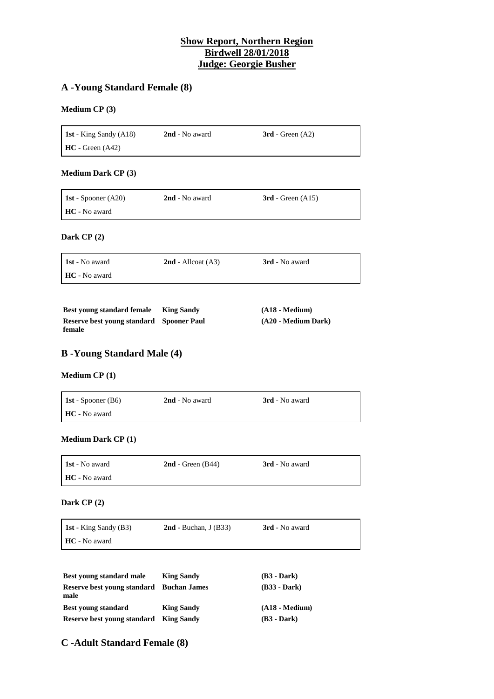## **Show Report, Northern Region Birdwell 28/01/2018 Judge: Georgie Busher**

# **A -Young Standard Female (8)**

### **Medium CP (3)**

**1st** - King Sandy (A18) **2nd** - No award **3rd** - Green (A2) **HC** - Green (A42)

### **Medium Dark CP (3)**

| <b>1st</b> - Spooner $(A20)$ | 2nd - No award | $3rd$ - Green $(A15)$ |
|------------------------------|----------------|-----------------------|
| HC - No award                |                |                       |

#### **Dark CP (2)**

| <b>1st</b> - No award | $2nd$ - Allcoat (A3) | 3rd - No award |
|-----------------------|----------------------|----------------|
| <b>HC</b> - No award  |                      |                |

| Best young standard female               | <b>King Sandy</b> | $(A18 - Medium)$    |
|------------------------------------------|-------------------|---------------------|
| Reserve best young standard Spooner Paul |                   | (A20 - Medium Dark) |
| female                                   |                   |                     |

## **B -Young Standard Male (4)**

#### **Medium CP (1)**

| <b>1st</b> - Spooner $(B6)$ | 2nd - No award | 3rd - No award |
|-----------------------------|----------------|----------------|
| <b>HC</b> - No award        |                |                |

**Medium Dark CP (1)**

| <b>1st</b> - No award | $2nd$ - Green (B44) | <b>3rd</b> - No award |
|-----------------------|---------------------|-----------------------|
| <b>HC</b> - No award  |                     |                       |

#### **Dark CP (2)**

| <b>1st</b> - King Sandy (B3) | $2nd$ - Buchan, J (B33) | 3rd - No award |
|------------------------------|-------------------------|----------------|
| <b>HC</b> - No award         |                         |                |

| <b>Best young standard male</b>     | <b>King Sandy</b>   | $(B3 - Dark)$    |
|-------------------------------------|---------------------|------------------|
| Reserve best young standard<br>male | <b>Buchan James</b> | $(B33 - Dark)$   |
| <b>Best young standard</b>          | <b>King Sandy</b>   | $(A18 - Medium)$ |
| Reserve best young standard         | <b>King Sandy</b>   | $(B3 - Dark)$    |

# **C -Adult Standard Female (8)**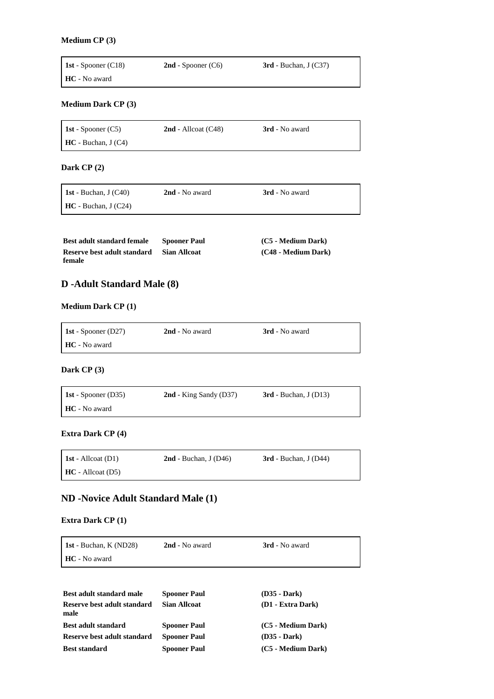#### **Medium CP (3)**

Ē

| <b>1st</b> - Spooner (C18) | $2nd$ - Spooner (C6) | $3rd$ - Buchan, J (C37) |
|----------------------------|----------------------|-------------------------|
| HC - No award              |                      |                         |

### **Medium Dark CP (3)**

| <b>1st</b> - Spooner $(C5)$    | $2nd$ - Allcoat (C48) | <b>3rd</b> - No award |  |
|--------------------------------|-----------------------|-----------------------|--|
| $\mathbf{HC}$ - Buchan, J (C4) |                       |                       |  |

### **Dark CP (2)**

| 1st - Buchan, J $(C40)$ | 2nd - No award | 3rd - No award |
|-------------------------|----------------|----------------|
| $HC - Buchan, J (C24)$  |                |                |

| <b>Best adult standard female</b> | <b>Spooner Paul</b> | (C5 - Medium Dark)  |
|-----------------------------------|---------------------|---------------------|
| Reserve best adult standard       | <b>Sian Allcoat</b> | (C48 - Medium Dark) |
| female                            |                     |                     |

# **D -Adult Standard Male (8)**

### **Medium Dark CP (1)**

| <b>1st</b> - Spooner (D27) | 2nd - No award | 3rd - No award |
|----------------------------|----------------|----------------|
| <b>HC</b> - No award       |                |                |

### **Dark CP (3)**

 $\overline{a}$ 

| <b>1st</b> - Spooner (D35) | $2nd$ - King Sandy (D37) | $3rd$ - Buchan, J (D13) |
|----------------------------|--------------------------|-------------------------|
| <b>HC</b> - No award       |                          |                         |

### **Extra Dark CP (4)**

| <b>1st</b> - Allcoat $(D1)$  | $2nd$ - Buchan, J (D46) | $3rd$ - Buchan, J (D44) |
|------------------------------|-------------------------|-------------------------|
| $\mathbf{HC}$ - Allcoat (D5) |                         |                         |

# **ND -Novice Adult Standard Male (1)**

### **Extra Dark CP (1)**

| <b>1st</b> - Buchan, K (ND28) | 2nd - No award | <b>3rd</b> - No award |
|-------------------------------|----------------|-----------------------|
| <b>HC</b> - No award          |                |                       |
|                               |                |                       |

| Best adult standard male            | <b>Spooner Paul</b> | $(D35 - Dark)$     |
|-------------------------------------|---------------------|--------------------|
| Reserve best adult standard<br>male | <b>Sian Allcoat</b> | (D1 - Extra Dark)  |
| <b>Best adult standard</b>          | <b>Spooner Paul</b> | (C5 - Medium Dark) |
| Reserve best adult standard         | <b>Spooner Paul</b> | (D35 - Dark)       |
| <b>Best standard</b>                | <b>Spooner Paul</b> | (C5 - Medium Dark) |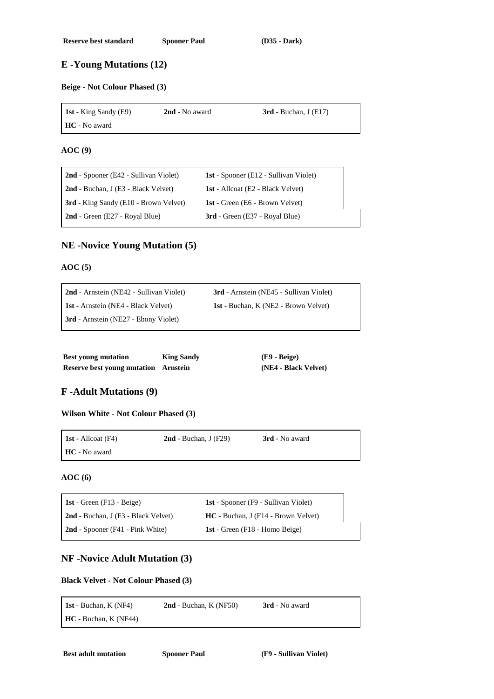# **E -Young Mutations (12)**

### **Beige - Not Colour Phased (3)**

| <b>1st</b> - King Sandy (E9) | 2nd - No award | $3rd$ - Buchan, J (E17) |
|------------------------------|----------------|-------------------------|
| <b>HC</b> - No award         |                |                         |

#### **AOC (9)**

 $\blacksquare$ 

| 2nd - Spooner (E42 - Sullivan Violet)        | <b>1st</b> - Spooner (E12 - Sullivan Violet) |
|----------------------------------------------|----------------------------------------------|
| 2nd - Buchan, J (E3 - Black Velvet)          | <b>1st</b> - Allcoat (E2 - Black Velvet)     |
| <b>3rd</b> - King Sandy (E10 - Brown Velvet) | <b>1st</b> - Green (E6 - Brown Velvet)       |
| $2nd$ - Green (E27 - Royal Blue)             | <b>3rd</b> - Green (E37 - Royal Blue)        |

### **NE -Novice Young Mutation (5)**

### **AOC (5)**

| 2nd - Arnstein (NE42 - Sullivan Violet)     | <b>3rd</b> - Arnstein (NE45 - Sullivan Violet) |
|---------------------------------------------|------------------------------------------------|
| <b>1st</b> - Arnstein (NE4 - Black Velvet)  | <b>1st</b> - Buchan, K (NE2 - Brown Velvet)    |
| <b>3rd</b> - Arnstein (NE27 - Ebony Violet) |                                                |

| <b>Best young mutation</b>                  | <b>King Sandy</b> | $(E9 - Beige)$       |
|---------------------------------------------|-------------------|----------------------|
| <b>Reserve best young mutation</b> Arnstein |                   | (NE4 - Black Velvet) |

# **F -Adult Mutations (9)**

**Wilson White - Not Colour Phased (3)**

| <b>1st</b> - Allcoat $(F4)$ | $2nd$ - Buchan, J (F29) | 3rd - No award |
|-----------------------------|-------------------------|----------------|
| HC - No award               |                         |                |

### **AOC (6)**

 $\blacksquare$ 

| 1st - Green $(F13 - Beige)$         | <b>1st</b> - Spooner (F9 - Sullivan Violet) |
|-------------------------------------|---------------------------------------------|
| 2nd - Buchan, J (F3 - Black Velvet) | $HC - Buchan, J (F14 - Brown \, Velvet)$    |
| 2nd - Spooner (F41 - Pink White)    | <b>1st</b> - Green (F18 - Homo Beige)       |

### **NF -Novice Adult Mutation (3)**

### **Black Velvet - Not Colour Phased (3)**

| 1st - Buchan, $K(NF4)$ | $2nd$ - Buchan, K (NF50) | <b>3rd</b> - No award |
|------------------------|--------------------------|-----------------------|
| $HC - Buchan, K(NF44)$ |                          |                       |